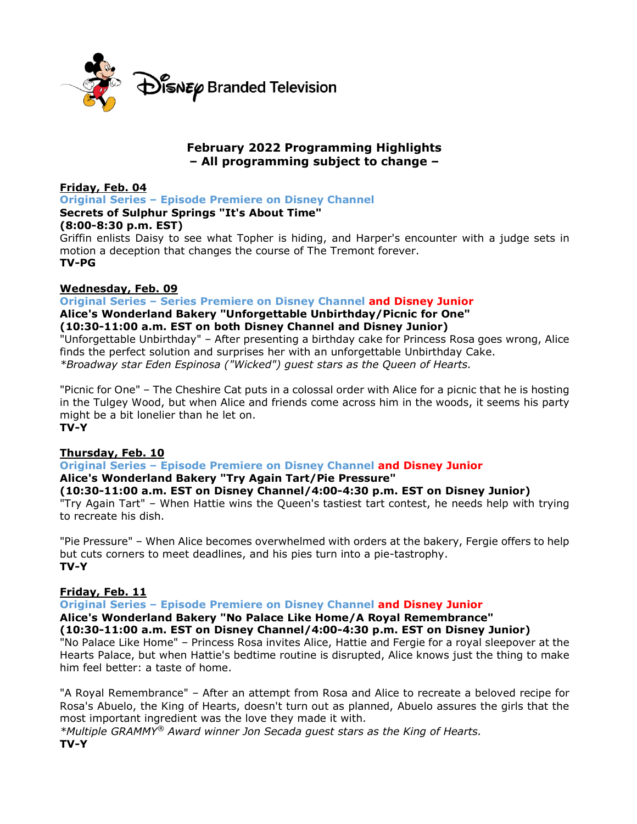

# **February 2022 Programming Highlights – All programming subject to change –**

**Friday, Feb. 04 Original Series – Episode Premiere on Disney Channel Secrets of Sulphur Springs "It's About Time" (8:00-8:30 p.m. EST)**

Griffin enlists Daisy to see what Topher is hiding, and Harper's encounter with a judge sets in motion a deception that changes the course of The Tremont forever. **TV-PG**

## **Wednesday, Feb. 09**

**Original Series – Series Premiere on Disney Channel and Disney Junior**

## **Alice's Wonderland Bakery "Unforgettable Unbirthday/Picnic for One" (10:30-11:00 a.m. EST on both Disney Channel and Disney Junior)**

"Unforgettable Unbirthday" – After presenting a birthday cake for Princess Rosa goes wrong, Alice finds the perfect solution and surprises her with an unforgettable Unbirthday Cake. *\*Broadway star Eden Espinosa ("Wicked") guest stars as the Queen of Hearts.*

"Picnic for One" – The Cheshire Cat puts in a colossal order with Alice for a picnic that he is hosting in the Tulgey Wood, but when Alice and friends come across him in the woods, it seems his party might be a bit lonelier than he let on. **TV-Y**

## **Thursday, Feb. 10**

**Original Series – Episode Premiere on Disney Channel and Disney Junior**

## **Alice's Wonderland Bakery "Try Again Tart/Pie Pressure"**

## **(10:30-11:00 a.m. EST on Disney Channel/4:00-4:30 p.m. EST on Disney Junior)**

"Try Again Tart" – When Hattie wins the Queen's tastiest tart contest, he needs help with trying to recreate his dish.

"Pie Pressure" – When Alice becomes overwhelmed with orders at the bakery, Fergie offers to help but cuts corners to meet deadlines, and his pies turn into a pie-tastrophy. **TV-Y**

## **Friday, Feb. 11**

**Original Series – Episode Premiere on Disney Channel and Disney Junior**

**Alice's Wonderland Bakery "No Palace Like Home/A Royal Remembrance" (10:30-11:00 a.m. EST on Disney Channel/4:00-4:30 p.m. EST on Disney Junior)**

"No Palace Like Home" – Princess Rosa invites Alice, Hattie and Fergie for a royal sleepover at the Hearts Palace, but when Hattie's bedtime routine is disrupted, Alice knows just the thing to make him feel better: a taste of home.

"A Royal Remembrance" – After an attempt from Rosa and Alice to recreate a beloved recipe for Rosa's Abuelo, the King of Hearts, doesn't turn out as planned, Abuelo assures the girls that the most important ingredient was the love they made it with.

*\*Multiple GRAMMY® Award winner Jon Secada guest stars as the King of Hearts.*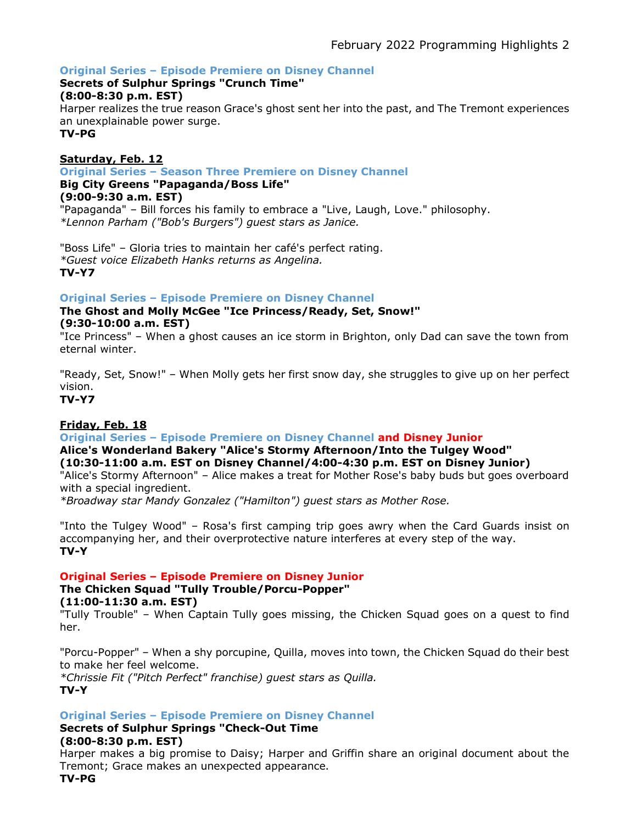## **Original Series – Episode Premiere on Disney Channel**

# **Secrets of Sulphur Springs "Crunch Time"**

## **(8:00-8:30 p.m. EST)**

Harper realizes the true reason Grace's ghost sent her into the past, and The Tremont experiences an unexplainable power surge.

**TV-PG**

## **Saturday, Feb. 12**

**Original Series – Season Three Premiere on Disney Channel**

## **Big City Greens "Papaganda/Boss Life"**

#### **(9:00-9:30 a.m. EST)**

"Papaganda" – Bill forces his family to embrace a "Live, Laugh, Love." philosophy. *\*Lennon Parham ("Bob's Burgers") guest stars as Janice.*

"Boss Life" – Gloria tries to maintain her café's perfect rating. *\*Guest voice Elizabeth Hanks returns as Angelina.* **TV-Y7**

## **Original Series – Episode Premiere on Disney Channel**

## **The Ghost and Molly McGee "Ice Princess/Ready, Set, Snow!" (9:30-10:00 a.m. EST)**

"Ice Princess" – When a ghost causes an ice storm in Brighton, only Dad can save the town from eternal winter.

"Ready, Set, Snow!" – When Molly gets her first snow day, she struggles to give up on her perfect vision.

**TV-Y7**

## **Friday, Feb. 18**

## **Original Series – Episode Premiere on Disney Channel and Disney Junior**

## **Alice's Wonderland Bakery "Alice's Stormy Afternoon/Into the Tulgey Wood" (10:30-11:00 a.m. EST on Disney Channel/4:00-4:30 p.m. EST on Disney Junior)**

"Alice's Stormy Afternoon" – Alice makes a treat for Mother Rose's baby buds but goes overboard with a special ingredient.

*\*Broadway star Mandy Gonzalez ("Hamilton") guest stars as Mother Rose.*

"Into the Tulgey Wood" – Rosa's first camping trip goes awry when the Card Guards insist on accompanying her, and their overprotective nature interferes at every step of the way. **TV-Y**

## **Original Series – Episode Premiere on Disney Junior**

# **The Chicken Squad "Tully Trouble/Porcu-Popper"**

**(11:00-11:30 a.m. EST)**

"Tully Trouble" – When Captain Tully goes missing, the Chicken Squad goes on a quest to find her.

"Porcu-Popper" – When a shy porcupine, Quilla, moves into town, the Chicken Squad do their best to make her feel welcome.

*\*Chrissie Fit ("Pitch Perfect" franchise) guest stars as Quilla.* **TV-Y**

**Original Series – Episode Premiere on Disney Channel**

## **Secrets of Sulphur Springs "Check-Out Time**

## **(8:00-8:30 p.m. EST)**

Harper makes a big promise to Daisy; Harper and Griffin share an original document about the Tremont; Grace makes an unexpected appearance.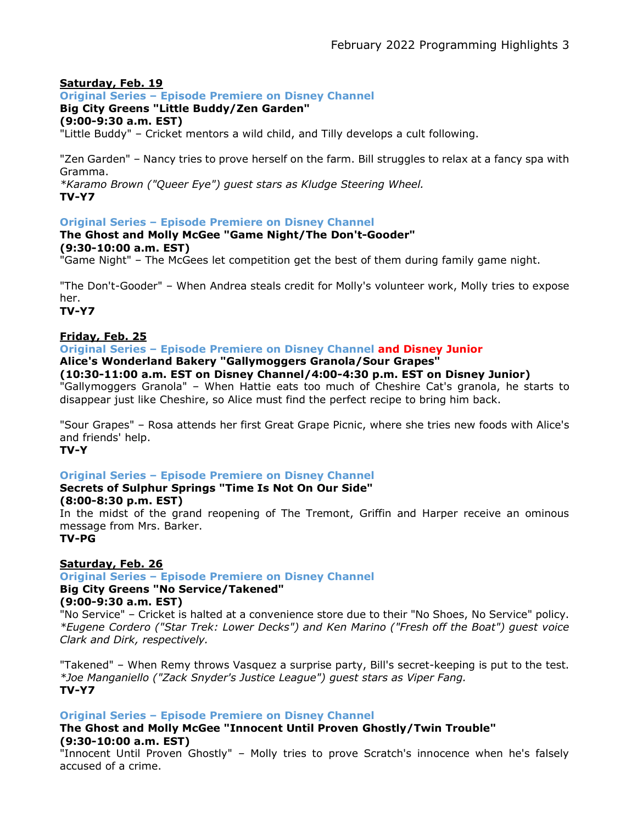## **Saturday, Feb. 19**

## **Original Series – Episode Premiere on Disney Channel**

## **Big City Greens "Little Buddy/Zen Garden"**

**(9:00-9:30 a.m. EST)**

"Little Buddy" – Cricket mentors a wild child, and Tilly develops a cult following.

"Zen Garden" – Nancy tries to prove herself on the farm. Bill struggles to relax at a fancy spa with Gramma.

*\*Karamo Brown ("Queer Eye") guest stars as Kludge Steering Wheel.* **TV-Y7**

## **Original Series – Episode Premiere on Disney Channel**

#### **The Ghost and Molly McGee "Game Night/The Don't-Gooder" (9:30-10:00 a.m. EST)**

"Game Night" – The McGees let competition get the best of them during family game night.

"The Don't-Gooder" – When Andrea steals credit for Molly's volunteer work, Molly tries to expose her.

**TV-Y7**

## **Friday, Feb. 25**

**Original Series – Episode Premiere on Disney Channel and Disney Junior**

**Alice's Wonderland Bakery "Gallymoggers Granola/Sour Grapes"**

#### **(10:30-11:00 a.m. EST on Disney Channel/4:00-4:30 p.m. EST on Disney Junior)**

"Gallymoggers Granola" – When Hattie eats too much of Cheshire Cat's granola, he starts to disappear just like Cheshire, so Alice must find the perfect recipe to bring him back.

"Sour Grapes" – Rosa attends her first Great Grape Picnic, where she tries new foods with Alice's and friends' help.

#### **TV-Y**

## **Original Series – Episode Premiere on Disney Channel**

# **Secrets of Sulphur Springs "Time Is Not On Our Side"**

**(8:00-8:30 p.m. EST)**

In the midst of the grand reopening of The Tremont, Griffin and Harper receive an ominous message from Mrs. Barker.

## **TV-PG**

## **Saturday, Feb. 26**

**Original Series – Episode Premiere on Disney Channel**

# **Big City Greens "No Service/Takened"**

**(9:00-9:30 a.m. EST)**

"No Service" – Cricket is halted at a convenience store due to their "No Shoes, No Service" policy. *\*Eugene Cordero ("Star Trek: Lower Decks") and Ken Marino ("Fresh off the Boat") guest voice Clark and Dirk, respectively.*

"Takened" – When Remy throws Vasquez a surprise party, Bill's secret-keeping is put to the test. *\*Joe Manganiello ("Zack Snyder's Justice League") guest stars as Viper Fang.* **TV-Y7**

**Original Series – Episode Premiere on Disney Channel**

# **The Ghost and Molly McGee "Innocent Until Proven Ghostly/Twin Trouble" (9:30-10:00 a.m. EST)**

"Innocent Until Proven Ghostly" – Molly tries to prove Scratch's innocence when he's falsely accused of a crime.